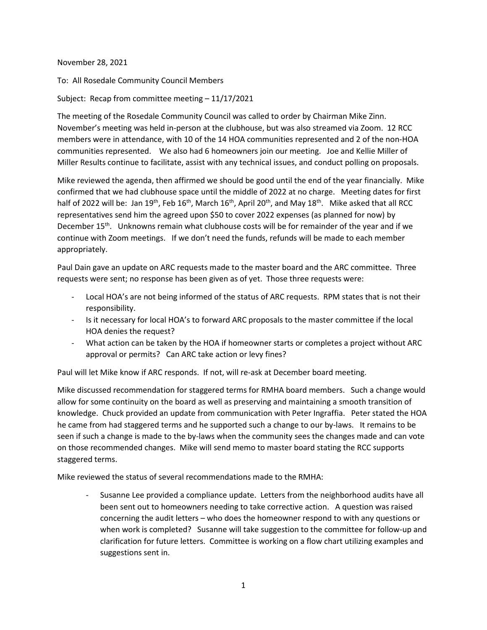November 28, 2021

To: All Rosedale Community Council Members

Subject: Recap from committee meeting – 11/17/2021

The meeting of the Rosedale Community Council was called to order by Chairman Mike Zinn. November's meeting was held in-person at the clubhouse, but was also streamed via Zoom. 12 RCC members were in attendance, with 10 of the 14 HOA communities represented and 2 of the non-HOA communities represented. We also had 6 homeowners join our meeting. Joe and Kellie Miller of Miller Results continue to facilitate, assist with any technical issues, and conduct polling on proposals.

Mike reviewed the agenda, then affirmed we should be good until the end of the year financially. Mike confirmed that we had clubhouse space until the middle of 2022 at no charge. Meeting dates for first half of 2022 will be: Jan 19<sup>th</sup>, Feb 16<sup>th</sup>, March 16<sup>th</sup>, April 20<sup>th</sup>, and May 18<sup>th</sup>. Mike asked that all RCC representatives send him the agreed upon \$50 to cover 2022 expenses (as planned for now) by December 15<sup>th</sup>. Unknowns remain what clubhouse costs will be for remainder of the year and if we continue with Zoom meetings. If we don't need the funds, refunds will be made to each member appropriately.

Paul Dain gave an update on ARC requests made to the master board and the ARC committee. Three requests were sent; no response has been given as of yet. Those three requests were:

- Local HOA's are not being informed of the status of ARC requests. RPM states that is not their responsibility.
- Is it necessary for local HOA's to forward ARC proposals to the master committee if the local HOA denies the request?
- What action can be taken by the HOA if homeowner starts or completes a project without ARC approval or permits? Can ARC take action or levy fines?

Paul will let Mike know if ARC responds. If not, will re-ask at December board meeting.

Mike discussed recommendation for staggered terms for RMHA board members. Such a change would allow for some continuity on the board as well as preserving and maintaining a smooth transition of knowledge. Chuck provided an update from communication with Peter Ingraffia. Peter stated the HOA he came from had staggered terms and he supported such a change to our by-laws. It remains to be seen if such a change is made to the by-laws when the community sees the changes made and can vote on those recommended changes. Mike will send memo to master board stating the RCC supports staggered terms.

Mike reviewed the status of several recommendations made to the RMHA:

- Susanne Lee provided a compliance update. Letters from the neighborhood audits have all been sent out to homeowners needing to take corrective action. A question was raised concerning the audit letters – who does the homeowner respond to with any questions or when work is completed? Susanne will take suggestion to the committee for follow-up and clarification for future letters. Committee is working on a flow chart utilizing examples and suggestions sent in.